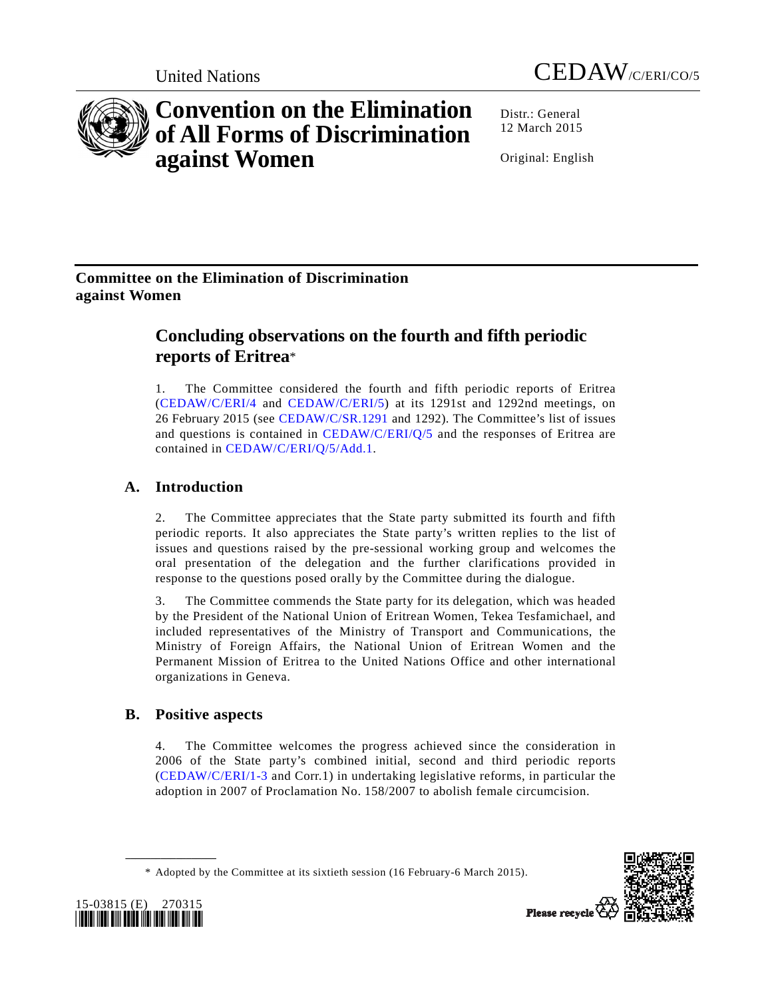



# **Convention on the Elimination of All Forms of Discrimination against Women**

Distr.: General 12 March 2015

Original: English

# **Committee on the Elimination of Discrimination against Women**

# **Concluding observations on the fourth and fifth periodic reports of Eritrea**\*

1. The Committee considered the fourth and fifth periodic reports of Eritrea (CEDAW/C/ERI/4 and CEDAW/C/ERI/5) at its 1291st and 1292nd meetings, on 26 February 2015 (see CEDAW/C/SR.1291 and 1292). The Committee's list of issues and questions is contained in CEDAW/C/ERI/Q/5 and the responses of Eritrea are contained in CEDAW/C/ERI/Q/5/Add.1.

# **A. Introduction**

2. The Committee appreciates that the State party submitted its fourth and fifth periodic reports. It also appreciates the State party's written replies to the list of issues and questions raised by the pre-sessional working group and welcomes the oral presentation of the delegation and the further clarifications provided in response to the questions posed orally by the Committee during the dialogue.

3. The Committee commends the State party for its delegation, which was headed by the President of the National Union of Eritrean Women, Tekea Tesfamichael, and included representatives of the Ministry of Transport and Communications, the Ministry of Foreign Affairs, the National Union of Eritrean Women and the Permanent Mission of Eritrea to the United Nations Office and other international organizations in Geneva.

# **B. Positive aspects**

4. The Committee welcomes the progress achieved since the consideration in 2006 of the State party's combined initial, second and third periodic reports (CEDAW/C/ERI/1-3 and Corr.1) in undertaking legislative reforms, in particular the adoption in 2007 of Proclamation No. 158/2007 to abolish female circumcision.

 <sup>\*</sup> Adopted by the Committee at its sixtieth session (16 February-6 March 2015).





**\_\_\_\_\_\_\_\_\_\_\_\_\_\_\_\_\_\_**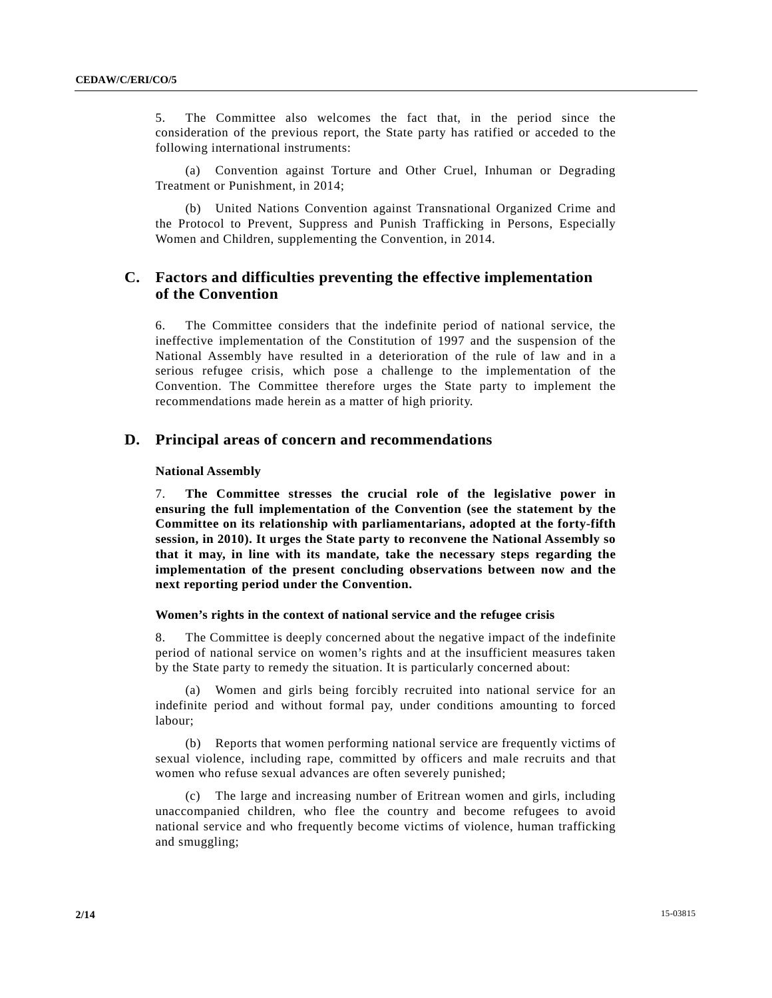5. The Committee also welcomes the fact that, in the period since the consideration of the previous report, the State party has ratified or acceded to the following international instruments:

 (a) Convention against Torture and Other Cruel, Inhuman or Degrading Treatment or Punishment, in 2014;

 (b) United Nations Convention against Transnational Organized Crime and the Protocol to Prevent, Suppress and Punish Trafficking in Persons, Especially Women and Children, supplementing the Convention, in 2014.

# **C. Factors and difficulties preventing the effective implementation of the Convention**

6. The Committee considers that the indefinite period of national service, the ineffective implementation of the Constitution of 1997 and the suspension of the National Assembly have resulted in a deterioration of the rule of law and in a serious refugee crisis, which pose a challenge to the implementation of the Convention. The Committee therefore urges the State party to implement the recommendations made herein as a matter of high priority.

# **D. Principal areas of concern and recommendations**

# **National Assembly**

7. **The Committee stresses the crucial role of the legislative power in ensuring the full implementation of the Convention (see the statement by the Committee on its relationship with parliamentarians, adopted at the forty-fifth session, in 2010). It urges the State party to reconvene the National Assembly so that it may, in line with its mandate, take the necessary steps regarding the implementation of the present concluding observations between now and the next reporting period under the Convention.** 

# **Women's rights in the context of national service and the refugee crisis**

8. The Committee is deeply concerned about the negative impact of the indefinite period of national service on women's rights and at the insufficient measures taken by the State party to remedy the situation. It is particularly concerned about:

 (a) Women and girls being forcibly recruited into national service for an indefinite period and without formal pay, under conditions amounting to forced labour;

 (b) Reports that women performing national service are frequently victims of sexual violence, including rape, committed by officers and male recruits and that women who refuse sexual advances are often severely punished;

 (c) The large and increasing number of Eritrean women and girls, including unaccompanied children, who flee the country and become refugees to avoid national service and who frequently become victims of violence, human trafficking and smuggling;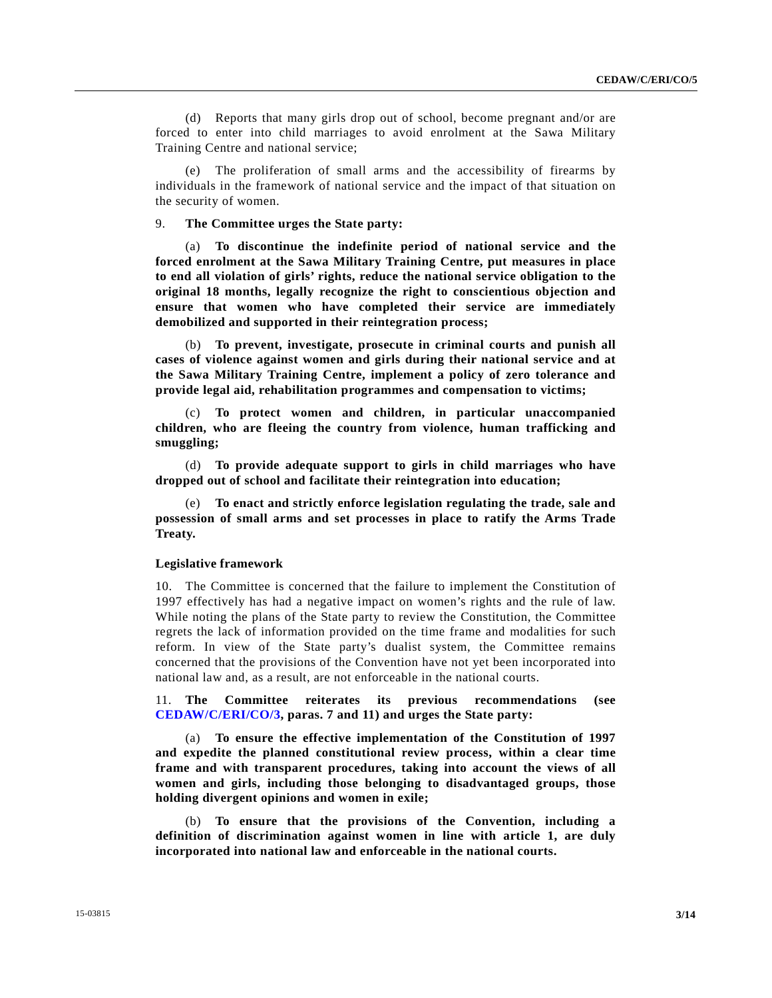(d) Reports that many girls drop out of school, become pregnant and/or are forced to enter into child marriages to avoid enrolment at the Sawa Military Training Centre and national service;

 (e) The proliferation of small arms and the accessibility of firearms by individuals in the framework of national service and the impact of that situation on the security of women.

# 9. **The Committee urges the State party:**

 (a) **To discontinue the indefinite period of national service and the forced enrolment at the Sawa Military Training Centre, put measures in place to end all violation of girls' rights, reduce the national service obligation to the original 18 months, legally recognize the right to conscientious objection and ensure that women who have completed their service are immediately demobilized and supported in their reintegration process;** 

 (b) **To prevent, investigate, prosecute in criminal courts and punish all cases of violence against women and girls during their national service and at the Sawa Military Training Centre, implement a policy of zero tolerance and provide legal aid, rehabilitation programmes and compensation to victims;** 

 (c) **To protect women and children, in particular unaccompanied children, who are fleeing the country from violence, human trafficking and smuggling;** 

 (d) **To provide adequate support to girls in child marriages who have dropped out of school and facilitate their reintegration into education;**

 (e) **To enact and strictly enforce legislation regulating the trade, sale and possession of small arms and set processes in place to ratify the Arms Trade Treaty.** 

#### **Legislative framework**

10. The Committee is concerned that the failure to implement the Constitution of 1997 effectively has had a negative impact on women's rights and the rule of law. While noting the plans of the State party to review the Constitution, the Committee regrets the lack of information provided on the time frame and modalities for such reform. In view of the State party's dualist system, the Committee remains concerned that the provisions of the Convention have not yet been incorporated into national law and, as a result, are not enforceable in the national courts.

11. **The Committee reiterates its previous recommendations (see CEDAW/C/ERI/CO/3, paras. 7 and 11) and urges the State party:** 

 (a) **To ensure the effective implementation of the Constitution of 1997 and expedite the planned constitutional review process, within a clear time frame and with transparent procedures, taking into account the views of all women and girls, including those belonging to disadvantaged groups, those holding divergent opinions and women in exile;**

 (b) **To ensure that the provisions of the Convention, including a definition of discrimination against women in line with article 1, are duly incorporated into national law and enforceable in the national courts.**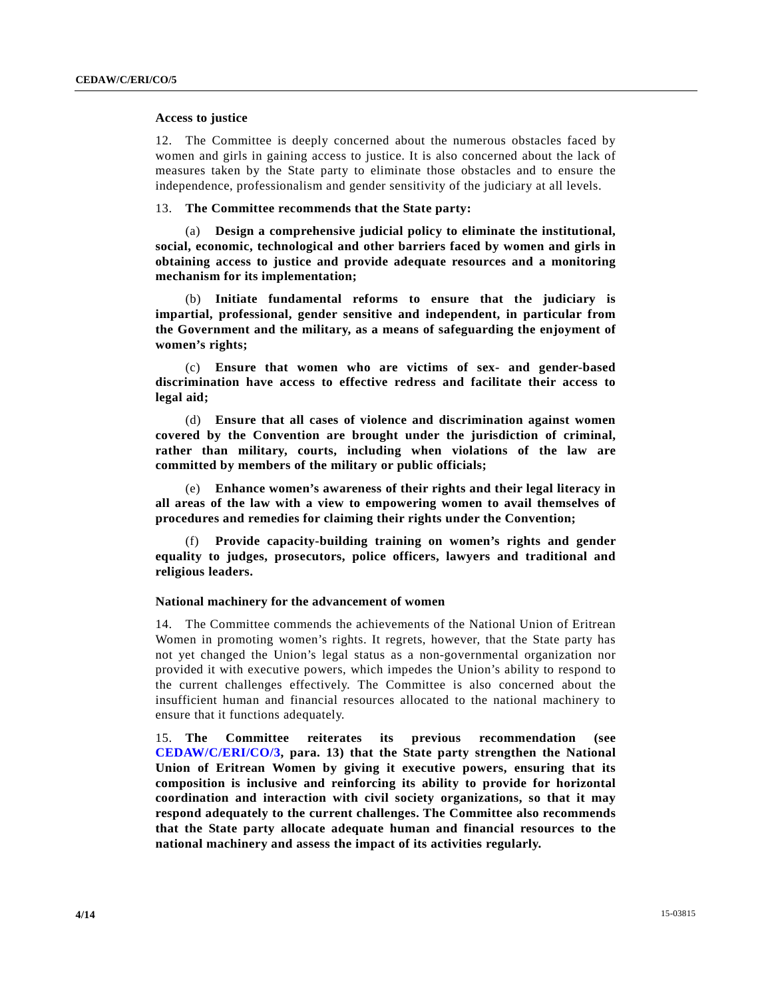#### **Access to justice**

12. The Committee is deeply concerned about the numerous obstacles faced by women and girls in gaining access to justice. It is also concerned about the lack of measures taken by the State party to eliminate those obstacles and to ensure the independence, professionalism and gender sensitivity of the judiciary at all levels.

# 13. **The Committee recommends that the State party:**

 (a) **Design a comprehensive judicial policy to eliminate the institutional, social, economic, technological and other barriers faced by women and girls in obtaining access to justice and provide adequate resources and a monitoring mechanism for its implementation;**

 (b) **Initiate fundamental reforms to ensure that the judiciary is impartial, professional, gender sensitive and independent, in particular from the Government and the military, as a means of safeguarding the enjoyment of women's rights;**

 (c) **Ensure that women who are victims of sex- and gender-based discrimination have access to effective redress and facilitate their access to legal aid;** 

 (d) **Ensure that all cases of violence and discrimination against women covered by the Convention are brought under the jurisdiction of criminal, rather than military, courts, including when violations of the law are committed by members of the military or public officials;** 

 (e) **Enhance women's awareness of their rights and their legal literacy in all areas of the law with a view to empowering women to avail themselves of procedures and remedies for claiming their rights under the Convention;**

 (f) **Provide capacity-building training on women's rights and gender equality to judges, prosecutors, police officers, lawyers and traditional and religious leaders.** 

# **National machinery for the advancement of women**

14. The Committee commends the achievements of the National Union of Eritrean Women in promoting women's rights. It regrets, however, that the State party has not yet changed the Union's legal status as a non-governmental organization nor provided it with executive powers, which impedes the Union's ability to respond to the current challenges effectively. The Committee is also concerned about the insufficient human and financial resources allocated to the national machinery to ensure that it functions adequately.

15. **The Committee reiterates its previous recommendation (see CEDAW/C/ERI/CO/3, para. 13) that the State party strengthen the National Union of Eritrean Women by giving it executive powers, ensuring that its composition is inclusive and reinforcing its ability to provide for horizontal coordination and interaction with civil society organizations, so that it may respond adequately to the current challenges. The Committee also recommends that the State party allocate adequate human and financial resources to the national machinery and assess the impact of its activities regularly.**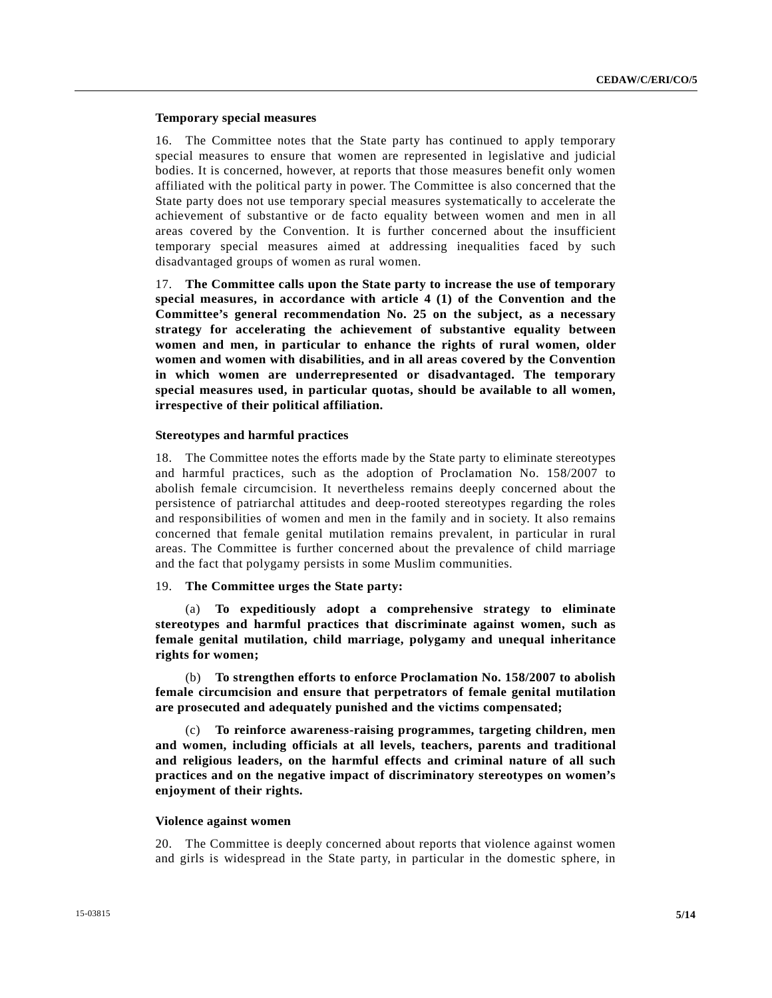# **Temporary special measures**

16. The Committee notes that the State party has continued to apply temporary special measures to ensure that women are represented in legislative and judicial bodies. It is concerned, however, at reports that those measures benefit only women affiliated with the political party in power. The Committee is also concerned that the State party does not use temporary special measures systematically to accelerate the achievement of substantive or de facto equality between women and men in all areas covered by the Convention. It is further concerned about the insufficient temporary special measures aimed at addressing inequalities faced by such disadvantaged groups of women as rural women.

17. **The Committee calls upon the State party to increase the use of temporary special measures, in accordance with article 4 (1) of the Convention and the Committee's general recommendation No. 25 on the subject, as a necessary strategy for accelerating the achievement of substantive equality between women and men, in particular to enhance the rights of rural women, older women and women with disabilities, and in all areas covered by the Convention in which women are underrepresented or disadvantaged. The temporary special measures used, in particular quotas, should be available to all women, irrespective of their political affiliation.**

### **Stereotypes and harmful practices**

18. The Committee notes the efforts made by the State party to eliminate stereotypes and harmful practices, such as the adoption of Proclamation No. 158/2007 to abolish female circumcision. It nevertheless remains deeply concerned about the persistence of patriarchal attitudes and deep-rooted stereotypes regarding the roles and responsibilities of women and men in the family and in society. It also remains concerned that female genital mutilation remains prevalent, in particular in rural areas. The Committee is further concerned about the prevalence of child marriage and the fact that polygamy persists in some Muslim communities.

# 19. **The Committee urges the State party:**

 (a) **To expeditiously adopt a comprehensive strategy to eliminate stereotypes and harmful practices that discriminate against women, such as female genital mutilation, child marriage, polygamy and unequal inheritance rights for women;** 

 (b) **To strengthen efforts to enforce Proclamation No. 158/2007 to abolish female circumcision and ensure that perpetrators of female genital mutilation are prosecuted and adequately punished and the victims compensated;** 

 (c) **To reinforce awareness-raising programmes, targeting children, men and women, including officials at all levels, teachers, parents and traditional and religious leaders, on the harmful effects and criminal nature of all such practices and on the negative impact of discriminatory stereotypes on women's enjoyment of their rights.** 

### **Violence against women**

20. The Committee is deeply concerned about reports that violence against women and girls is widespread in the State party, in particular in the domestic sphere, in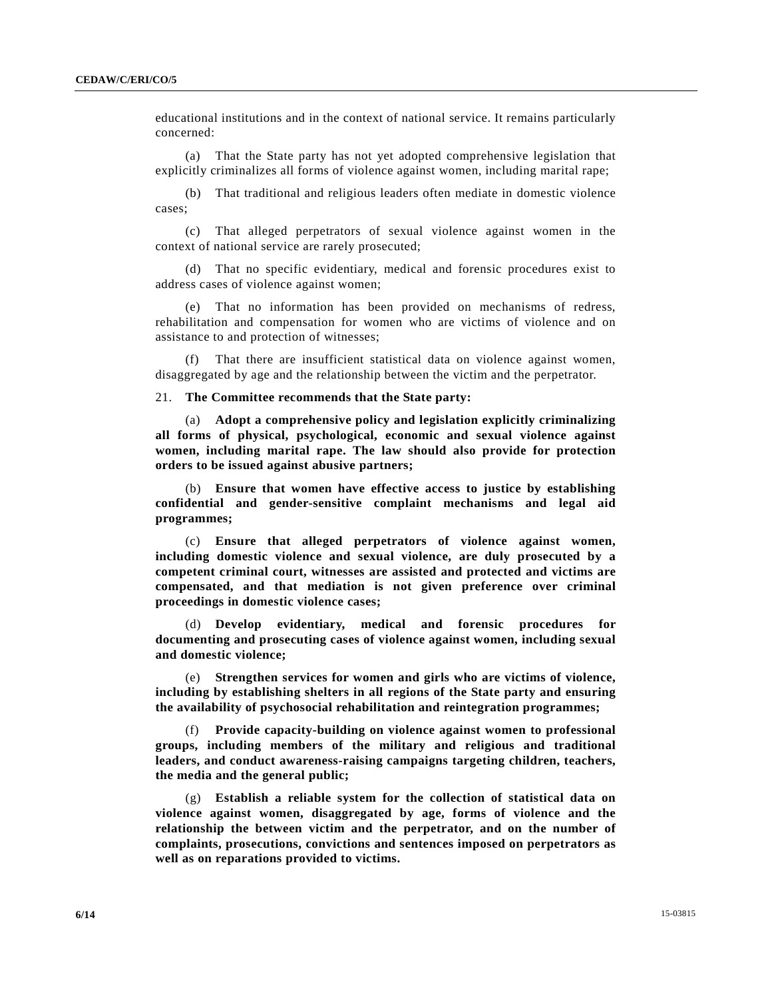educational institutions and in the context of national service. It remains particularly concerned:

 (a) That the State party has not yet adopted comprehensive legislation that explicitly criminalizes all forms of violence against women, including marital rape;

 (b) That traditional and religious leaders often mediate in domestic violence cases;

 (c) That alleged perpetrators of sexual violence against women in the context of national service are rarely prosecuted;

 (d) That no specific evidentiary, medical and forensic procedures exist to address cases of violence against women;

 (e) That no information has been provided on mechanisms of redress, rehabilitation and compensation for women who are victims of violence and on assistance to and protection of witnesses;

 (f) That there are insufficient statistical data on violence against women, disaggregated by age and the relationship between the victim and the perpetrator.

# 21. **The Committee recommends that the State party:**

(a) **Adopt a comprehensive policy and legislation explicitly criminalizing all forms of physical, psychological, economic and sexual violence against women, including marital rape. The law should also provide for protection orders to be issued against abusive partners;** 

(b) **Ensure that women have effective access to justice by establishing confidential and gender-sensitive complaint mechanisms and legal aid programmes;** 

(c) **Ensure that alleged perpetrators of violence against women, including domestic violence and sexual violence, are duly prosecuted by a competent criminal court, witnesses are assisted and protected and victims are compensated, and that mediation is not given preference over criminal proceedings in domestic violence cases;** 

(d) **Develop evidentiary, medical and forensic procedures for documenting and prosecuting cases of violence against women, including sexual and domestic violence;** 

(e) **Strengthen services for women and girls who are victims of violence, including by establishing shelters in all regions of the State party and ensuring the availability of psychosocial rehabilitation and reintegration programmes;** 

(f) **Provide capacity-building on violence against women to professional groups, including members of the military and religious and traditional leaders, and conduct awareness-raising campaigns targeting children, teachers, the media and the general public;** 

(g) **Establish a reliable system for the collection of statistical data on violence against women, disaggregated by age, forms of violence and the relationship the between victim and the perpetrator, and on the number of complaints, prosecutions, convictions and sentences imposed on perpetrators as well as on reparations provided to victims.**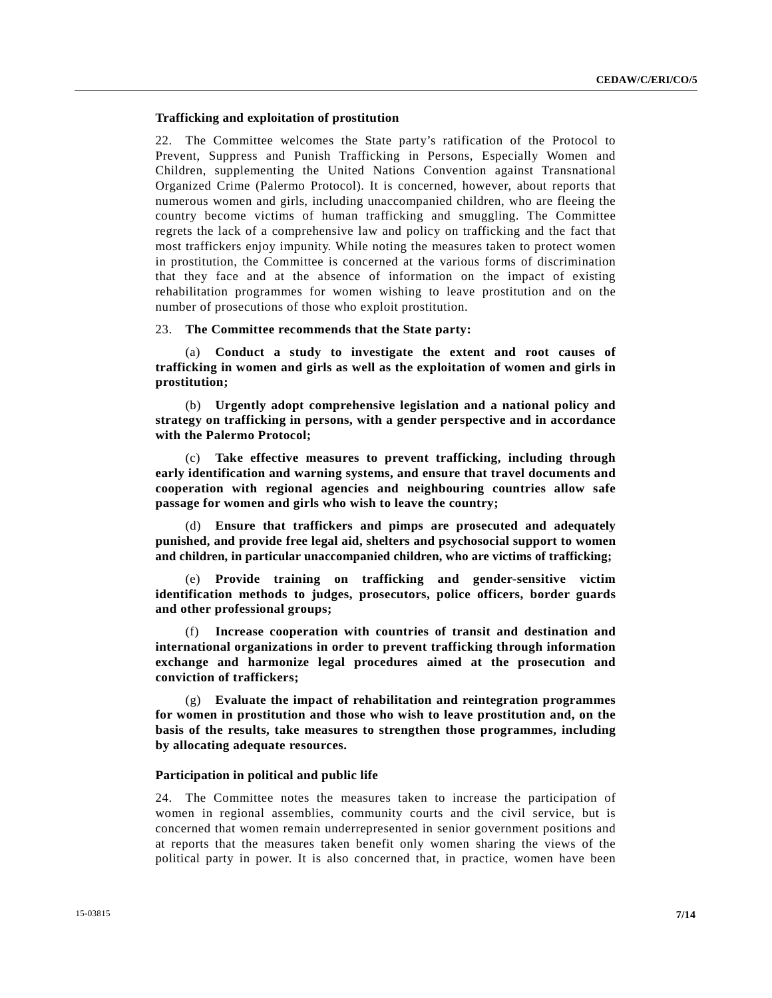# **Trafficking and exploitation of prostitution**

22. The Committee welcomes the State party's ratification of the Protocol to Prevent, Suppress and Punish Trafficking in Persons, Especially Women and Children, supplementing the United Nations Convention against Transnational Organized Crime (Palermo Protocol). It is concerned, however, about reports that numerous women and girls, including unaccompanied children, who are fleeing the country become victims of human trafficking and smuggling. The Committee regrets the lack of a comprehensive law and policy on trafficking and the fact that most traffickers enjoy impunity. While noting the measures taken to protect women in prostitution, the Committee is concerned at the various forms of discrimination that they face and at the absence of information on the impact of existing rehabilitation programmes for women wishing to leave prostitution and on the number of prosecutions of those who exploit prostitution.

# 23. **The Committee recommends that the State party:**

(a) **Conduct a study to investigate the extent and root causes of trafficking in women and girls as well as the exploitation of women and girls in prostitution;** 

(b) **Urgently adopt comprehensive legislation and a national policy and strategy on trafficking in persons, with a gender perspective and in accordance with the Palermo Protocol;** 

(c) **Take effective measures to prevent trafficking, including through early identification and warning systems, and ensure that travel documents and cooperation with regional agencies and neighbouring countries allow safe passage for women and girls who wish to leave the country;** 

(d) **Ensure that traffickers and pimps are prosecuted and adequately punished, and provide free legal aid, shelters and psychosocial support to women and children, in particular unaccompanied children, who are victims of trafficking;** 

(e) **Provide training on trafficking and gender-sensitive victim identification methods to judges, prosecutors, police officers, border guards and other professional groups;** 

(f) **Increase cooperation with countries of transit and destination and international organizations in order to prevent trafficking through information exchange and harmonize legal procedures aimed at the prosecution and conviction of traffickers;** 

(g) **Evaluate the impact of rehabilitation and reintegration programmes for women in prostitution and those who wish to leave prostitution and, on the basis of the results, take measures to strengthen those programmes, including by allocating adequate resources.** 

# **Participation in political and public life**

24. The Committee notes the measures taken to increase the participation of women in regional assemblies, community courts and the civil service, but is concerned that women remain underrepresented in senior government positions and at reports that the measures taken benefit only women sharing the views of the political party in power. It is also concerned that, in practice, women have been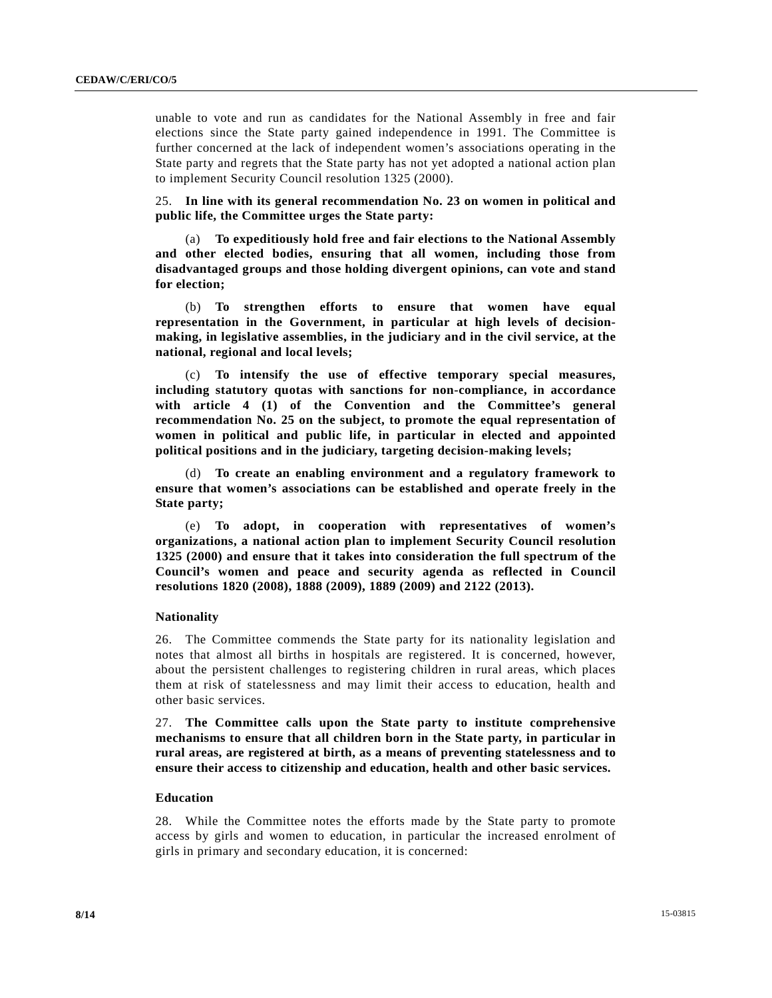unable to vote and run as candidates for the National Assembly in free and fair elections since the State party gained independence in 1991. The Committee is further concerned at the lack of independent women's associations operating in the State party and regrets that the State party has not yet adopted a national action plan to implement Security Council resolution 1325 (2000).

25. **In line with its general recommendation No. 23 on women in political and public life, the Committee urges the State party:** 

(a) **To expeditiously hold free and fair elections to the National Assembly and other elected bodies, ensuring that all women, including those from disadvantaged groups and those holding divergent opinions, can vote and stand for election;** 

(b) **To strengthen efforts to ensure that women have equal representation in the Government, in particular at high levels of decisionmaking, in legislative assemblies, in the judiciary and in the civil service, at the national, regional and local levels;** 

(c) **To intensify the use of effective temporary special measures, including statutory quotas with sanctions for non-compliance, in accordance with article 4 (1) of the Convention and the Committee's general recommendation No. 25 on the subject, to promote the equal representation of women in political and public life, in particular in elected and appointed political positions and in the judiciary, targeting decision-making levels;** 

(d) **To create an enabling environment and a regulatory framework to ensure that women's associations can be established and operate freely in the State party;** 

(e) **To adopt, in cooperation with representatives of women's organizations, a national action plan to implement Security Council resolution 1325 (2000) and ensure that it takes into consideration the full spectrum of the Council's women and peace and security agenda as reflected in Council resolutions 1820 (2008), 1888 (2009), 1889 (2009) and 2122 (2013).** 

# **Nationality**

26. The Committee commends the State party for its nationality legislation and notes that almost all births in hospitals are registered. It is concerned, however, about the persistent challenges to registering children in rural areas, which places them at risk of statelessness and may limit their access to education, health and other basic services.

27. **The Committee calls upon the State party to institute comprehensive mechanisms to ensure that all children born in the State party, in particular in rural areas, are registered at birth, as a means of preventing statelessness and to ensure their access to citizenship and education, health and other basic services.** 

### **Education**

28. While the Committee notes the efforts made by the State party to promote access by girls and women to education, in particular the increased enrolment of girls in primary and secondary education, it is concerned: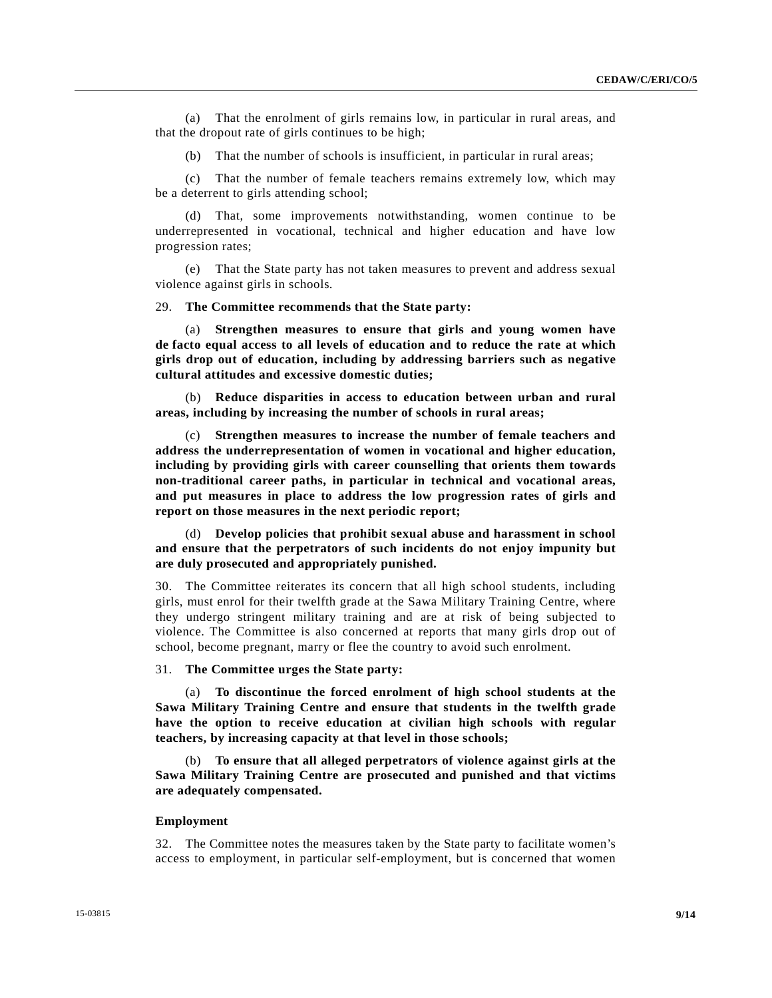(a) That the enrolment of girls remains low, in particular in rural areas, and that the dropout rate of girls continues to be high;

(b) That the number of schools is insufficient, in particular in rural areas;

 (c) That the number of female teachers remains extremely low, which may be a deterrent to girls attending school;

 (d) That, some improvements notwithstanding, women continue to be underrepresented in vocational, technical and higher education and have low progression rates;

 (e) That the State party has not taken measures to prevent and address sexual violence against girls in schools.

29. **The Committee recommends that the State party:** 

(a) **Strengthen measures to ensure that girls and young women have de facto equal access to all levels of education and to reduce the rate at which girls drop out of education, including by addressing barriers such as negative cultural attitudes and excessive domestic duties;** 

(b) **Reduce disparities in access to education between urban and rural areas, including by increasing the number of schools in rural areas;** 

(c) **Strengthen measures to increase the number of female teachers and address the underrepresentation of women in vocational and higher education, including by providing girls with career counselling that orients them towards non-traditional career paths, in particular in technical and vocational areas, and put measures in place to address the low progression rates of girls and report on those measures in the next periodic report;** 

(d) **Develop policies that prohibit sexual abuse and harassment in school and ensure that the perpetrators of such incidents do not enjoy impunity but are duly prosecuted and appropriately punished.** 

30. The Committee reiterates its concern that all high school students, including girls, must enrol for their twelfth grade at the Sawa Military Training Centre, where they undergo stringent military training and are at risk of being subjected to violence. The Committee is also concerned at reports that many girls drop out of school, become pregnant, marry or flee the country to avoid such enrolment.

31. **The Committee urges the State party:** 

(a) **To discontinue the forced enrolment of high school students at the Sawa Military Training Centre and ensure that students in the twelfth grade have the option to receive education at civilian high schools with regular teachers, by increasing capacity at that level in those schools;** 

(b) **To ensure that all alleged perpetrators of violence against girls at the Sawa Military Training Centre are prosecuted and punished and that victims are adequately compensated.** 

# **Employment**

32. The Committee notes the measures taken by the State party to facilitate women's access to employment, in particular self-employment, but is concerned that women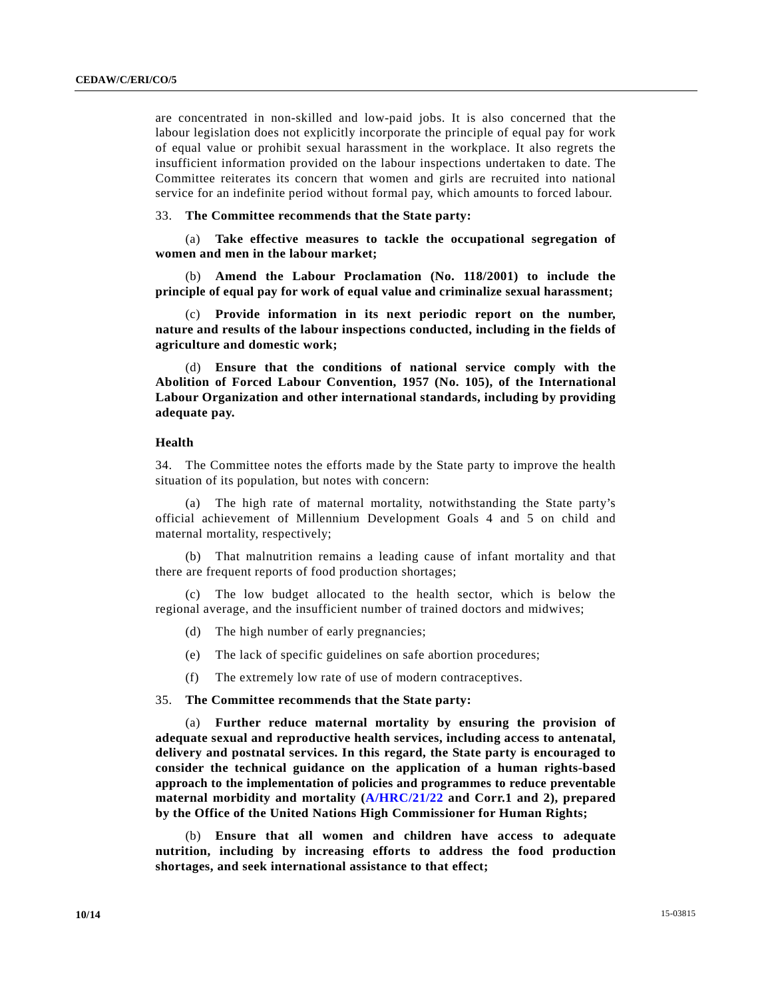are concentrated in non-skilled and low-paid jobs. It is also concerned that the labour legislation does not explicitly incorporate the principle of equal pay for work of equal value or prohibit sexual harassment in the workplace. It also regrets the insufficient information provided on the labour inspections undertaken to date. The Committee reiterates its concern that women and girls are recruited into national service for an indefinite period without formal pay, which amounts to forced labour.

33. **The Committee recommends that the State party:** 

(a) **Take effective measures to tackle the occupational segregation of women and men in the labour market;** 

(b) **Amend the Labour Proclamation (No. 118/2001) to include the principle of equal pay for work of equal value and criminalize sexual harassment;** 

(c) **Provide information in its next periodic report on the number, nature and results of the labour inspections conducted, including in the fields of agriculture and domestic work;** 

(d) **Ensure that the conditions of national service comply with the Abolition of Forced Labour Convention, 1957 (No. 105), of the International Labour Organization and other international standards, including by providing adequate pay.** 

### **Health**

34. The Committee notes the efforts made by the State party to improve the health situation of its population, but notes with concern:

 (a) The high rate of maternal mortality, notwithstanding the State party's official achievement of Millennium Development Goals 4 and 5 on child and maternal mortality, respectively;

 (b) That malnutrition remains a leading cause of infant mortality and that there are frequent reports of food production shortages;

 (c) The low budget allocated to the health sector, which is below the regional average, and the insufficient number of trained doctors and midwives;

- (d) The high number of early pregnancies;
- (e) The lack of specific guidelines on safe abortion procedures;
- (f) The extremely low rate of use of modern contraceptives.

# 35. **The Committee recommends that the State party:**

(a) **Further reduce maternal mortality by ensuring the provision of adequate sexual and reproductive health services, including access to antenatal, delivery and postnatal services. In this regard, the State party is encouraged to consider the technical guidance on the application of a human rights-based approach to the implementation of policies and programmes to reduce preventable maternal morbidity and mortality (A/HRC/21/22 and Corr.1 and 2), prepared by the Office of the United Nations High Commissioner for Human Rights;** 

(b) **Ensure that all women and children have access to adequate nutrition, including by increasing efforts to address the food production shortages, and seek international assistance to that effect;**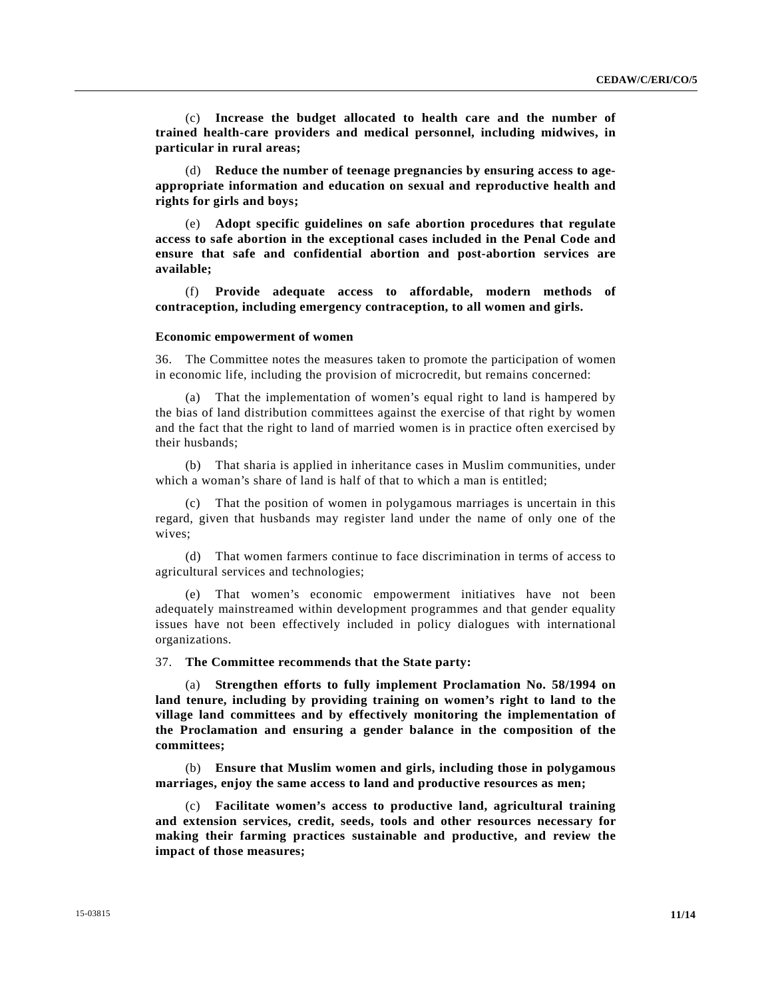(c) **Increase the budget allocated to health care and the number of trained health-care providers and medical personnel, including midwives, in particular in rural areas;** 

(d) **Reduce the number of teenage pregnancies by ensuring access to ageappropriate information and education on sexual and reproductive health and rights for girls and boys;** 

(e) **Adopt specific guidelines on safe abortion procedures that regulate access to safe abortion in the exceptional cases included in the Penal Code and ensure that safe and confidential abortion and post-abortion services are available;** 

(f) **Provide adequate access to affordable, modern methods of contraception, including emergency contraception, to all women and girls.** 

# **Economic empowerment of women**

36. The Committee notes the measures taken to promote the participation of women in economic life, including the provision of microcredit, but remains concerned:

 (a) That the implementation of women's equal right to land is hampered by the bias of land distribution committees against the exercise of that right by women and the fact that the right to land of married women is in practice often exercised by their husbands;

 (b) That sharia is applied in inheritance cases in Muslim communities, under which a woman's share of land is half of that to which a man is entitled:

 (c) That the position of women in polygamous marriages is uncertain in this regard, given that husbands may register land under the name of only one of the wives;

 (d) That women farmers continue to face discrimination in terms of access to agricultural services and technologies;

 (e) That women's economic empowerment initiatives have not been adequately mainstreamed within development programmes and that gender equality issues have not been effectively included in policy dialogues with international organizations.

# 37. **The Committee recommends that the State party:**

 (a) **Strengthen efforts to fully implement Proclamation No. 58/1994 on land tenure, including by providing training on women's right to land to the village land committees and by effectively monitoring the implementation of the Proclamation and ensuring a gender balance in the composition of the committees;** 

(b) **Ensure that Muslim women and girls, including those in polygamous marriages, enjoy the same access to land and productive resources as men;** 

(c) **Facilitate women's access to productive land, agricultural training and extension services, credit, seeds, tools and other resources necessary for making their farming practices sustainable and productive, and review the impact of those measures;**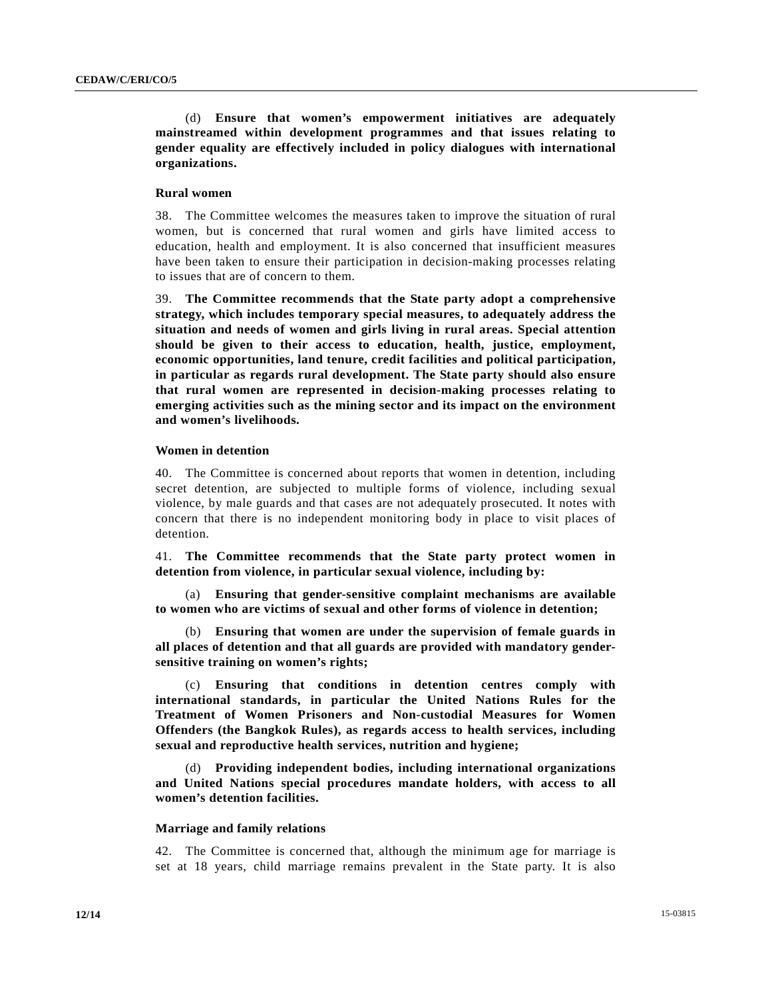(d) **Ensure that women's empowerment initiatives are adequately mainstreamed within development programmes and that issues relating to gender equality are effectively included in policy dialogues with international organizations.** 

# **Rural women**

38. The Committee welcomes the measures taken to improve the situation of rural women, but is concerned that rural women and girls have limited access to education, health and employment. It is also concerned that insufficient measures have been taken to ensure their participation in decision-making processes relating to issues that are of concern to them.

39. **The Committee recommends that the State party adopt a comprehensive strategy, which includes temporary special measures, to adequately address the situation and needs of women and girls living in rural areas. Special attention should be given to their access to education, health, justice, employment, economic opportunities, land tenure, credit facilities and political participation, in particular as regards rural development. The State party should also ensure that rural women are represented in decision-making processes relating to emerging activities such as the mining sector and its impact on the environment and women's livelihoods.** 

# **Women in detention**

40. The Committee is concerned about reports that women in detention, including secret detention, are subjected to multiple forms of violence, including sexual violence, by male guards and that cases are not adequately prosecuted. It notes with concern that there is no independent monitoring body in place to visit places of detention.

41. **The Committee recommends that the State party protect women in detention from violence, in particular sexual violence, including by:** 

(a) **Ensuring that gender-sensitive complaint mechanisms are available to women who are victims of sexual and other forms of violence in detention;** 

(b) **Ensuring that women are under the supervision of female guards in all places of detention and that all guards are provided with mandatory gendersensitive training on women's rights;** 

(c) **Ensuring that conditions in detention centres comply with international standards, in particular the United Nations Rules for the Treatment of Women Prisoners and Non-custodial Measures for Women Offenders (the Bangkok Rules), as regards access to health services, including sexual and reproductive health services, nutrition and hygiene;** 

(d) **Providing independent bodies, including international organizations and United Nations special procedures mandate holders, with access to all women's detention facilities.** 

# **Marriage and family relations**

42. The Committee is concerned that, although the minimum age for marriage is set at 18 years, child marriage remains prevalent in the State party. It is also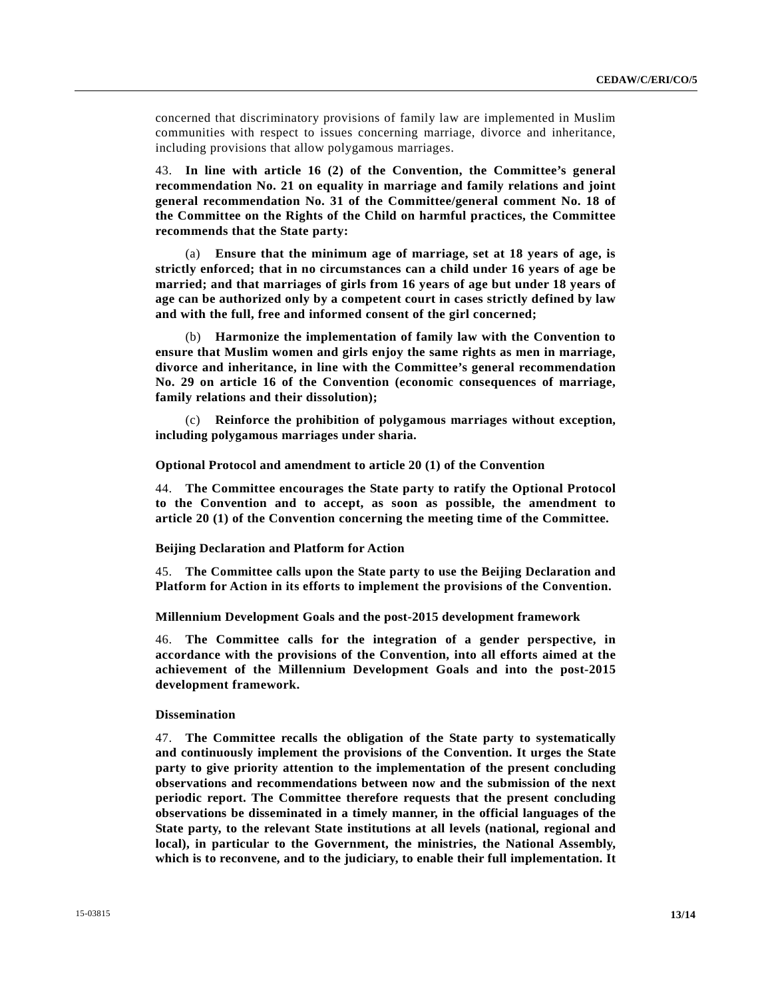concerned that discriminatory provisions of family law are implemented in Muslim communities with respect to issues concerning marriage, divorce and inheritance, including provisions that allow polygamous marriages.

43. **In line with article 16 (2) of the Convention, the Committee's general recommendation No. 21 on equality in marriage and family relations and joint general recommendation No. 31 of the Committee/general comment No. 18 of the Committee on the Rights of the Child on harmful practices, the Committee recommends that the State party:** 

 (a) **Ensure that the minimum age of marriage, set at 18 years of age, is strictly enforced; that in no circumstances can a child under 16 years of age be married; and that marriages of girls from 16 years of age but under 18 years of age can be authorized only by a competent court in cases strictly defined by law and with the full, free and informed consent of the girl concerned;**

 (b) **Harmonize the implementation of family law with the Convention to ensure that Muslim women and girls enjoy the same rights as men in marriage, divorce and inheritance, in line with the Committee's general recommendation No. 29 on article 16 of the Convention (economic consequences of marriage, family relations and their dissolution);**

 (c) **Reinforce the prohibition of polygamous marriages without exception, including polygamous marriages under sharia.** 

# **Optional Protocol and amendment to article 20 (1) of the Convention**

44. **The Committee encourages the State party to ratify the Optional Protocol to the Convention and to accept, as soon as possible, the amendment to article 20 (1) of the Convention concerning the meeting time of the Committee.** 

# **Beijing Declaration and Platform for Action**

45. **The Committee calls upon the State party to use the Beijing Declaration and Platform for Action in its efforts to implement the provisions of the Convention.** 

 **Millennium Development Goals and the post-2015 development framework** 

46. **The Committee calls for the integration of a gender perspective, in accordance with the provisions of the Convention, into all efforts aimed at the achievement of the Millennium Development Goals and into the post-2015 development framework.** 

# **Dissemination**

47. **The Committee recalls the obligation of the State party to systematically and continuously implement the provisions of the Convention. It urges the State party to give priority attention to the implementation of the present concluding observations and recommendations between now and the submission of the next periodic report. The Committee therefore requests that the present concluding observations be disseminated in a timely manner, in the official languages of the State party, to the relevant State institutions at all levels (national, regional and local), in particular to the Government, the ministries, the National Assembly, which is to reconvene, and to the judiciary, to enable their full implementation. It**